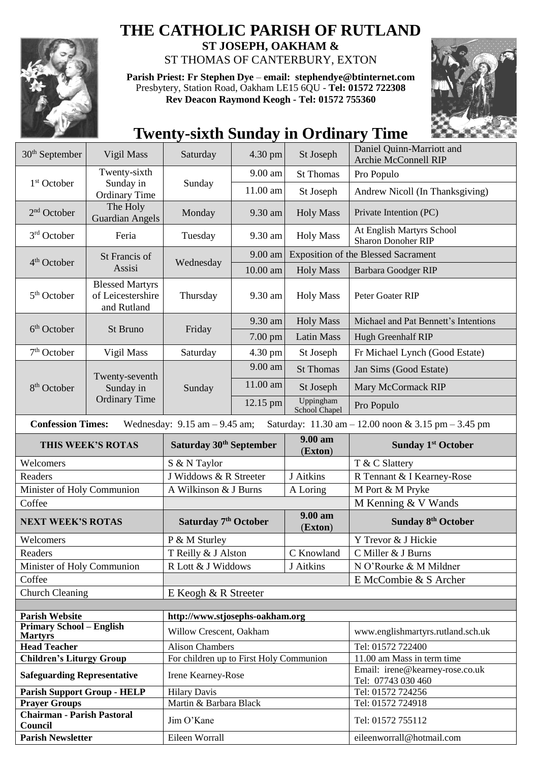

## **THE CATHOLIC PARISH OF RUTLAND**

**ST JOSEPH, OAKHAM &**  ST THOMAS OF CANTERBURY, EXTON

**Parish Priest: Fr Stephen Dye** – **[email: stephendye@btinternet.com](mailto:email:%20%20stephendye@btinternet.com)** Presbytery, Station Road, Oakham LE15 6QU - **Tel: 01572 722308 Rev Deacon Raymond Keogh - Tel: 01572 755360**



## **Twenty-sixth Sunday in Ordinary Time**

| 30 <sup>th</sup> September                   | Vigil Mass                                                 | Saturday                                | 4.30 pm  | St Joseph                                  | Daniel Quinn-Marriott and<br><b>Archie McConnell RIP</b> |
|----------------------------------------------|------------------------------------------------------------|-----------------------------------------|----------|--------------------------------------------|----------------------------------------------------------|
|                                              | Twenty-sixth                                               |                                         | 9.00 am  | <b>St Thomas</b><br>St Joseph              | Pro Populo                                               |
| 1 <sup>st</sup> October                      | Sunday in<br><b>Ordinary Time</b>                          | Sunday                                  | 11.00 am |                                            | Andrew Nicoll (In Thanksgiving)                          |
| 2 <sup>nd</sup> October                      | The Holy<br><b>Guardian Angels</b>                         | Monday                                  | 9.30 am  | <b>Holy Mass</b>                           | Private Intention (PC)                                   |
| 3 <sup>rd</sup> October                      | Feria                                                      | Tuesday                                 | 9.30 am  | <b>Holy Mass</b>                           | At English Martyrs School<br><b>Sharon Donoher RIP</b>   |
| 4 <sup>th</sup> October                      | St Francis of<br>Assisi                                    | Wednesday                               | 9.00 am  | <b>Exposition of the Blessed Sacrament</b> |                                                          |
|                                              |                                                            |                                         | 10.00 am | <b>Holy Mass</b>                           | <b>Barbara Goodger RIP</b>                               |
| 5 <sup>th</sup> October                      | <b>Blessed Martyrs</b><br>of Leicestershire<br>and Rutland | Thursday                                | 9.30 am  | <b>Holy Mass</b>                           | Peter Goater RIP                                         |
| 6 <sup>th</sup> October                      | St Bruno                                                   | Friday                                  | 9.30 am  | <b>Holy Mass</b>                           | Michael and Pat Bennett's Intentions                     |
|                                              |                                                            |                                         | 7.00 pm  | <b>Latin Mass</b>                          | Hugh Greenhalf RIP                                       |
| $7th$ October                                | Vigil Mass                                                 | Saturday                                | 4.30 pm  | St Joseph                                  | Fr Michael Lynch (Good Estate)                           |
|                                              | Twenty-seventh<br>Sunday in<br><b>Ordinary Time</b>        | Sunday                                  | 9.00 am  | <b>St Thomas</b>                           | Jan Sims (Good Estate)                                   |
| 8 <sup>th</sup> October                      |                                                            |                                         | 11.00 am | St Joseph                                  | Mary McCormack RIP                                       |
|                                              |                                                            |                                         | 12.15 pm | Uppingham<br>School Chapel                 | Pro Populo                                               |
| <b>Confession Times:</b>                     |                                                            | Wednesday: $9.15$ am $- 9.45$ am;       |          |                                            | Saturday: 11.30 am - 12.00 noon & 3.15 pm - 3.45 pm      |
|                                              | THIS WEEK'S ROTAS                                          | Saturday 30 <sup>th</sup> September     |          | 9.00 am<br>(Exton)                         | <b>Sunday 1st October</b>                                |
| Welcomers                                    |                                                            | S & N Taylor                            |          |                                            | T & C Slattery                                           |
| Readers                                      |                                                            | J Widdows & R Streeter                  |          | J Aitkins                                  | R Tennant & I Kearney-Rose                               |
| Minister of Holy Communion                   |                                                            | A Wilkinson & J Burns                   |          | A Loring                                   | M Port & M Pryke                                         |
| Coffee                                       |                                                            |                                         |          |                                            |                                                          |
| <b>NEXT WEEK'S ROTAS</b>                     |                                                            |                                         |          |                                            | M Kenning & V Wands                                      |
|                                              |                                                            | Saturday 7 <sup>th</sup> October        |          | $9.00 a$ m<br>(Exton)                      | Sunday 8 <sup>th</sup> October                           |
| Welcomers                                    |                                                            | P & M Sturley                           |          |                                            | Y Trevor & J Hickie                                      |
| Readers                                      |                                                            | T Reilly & J Alston                     |          | C Knowland                                 | C Miller & J Burns                                       |
| Minister of Holy Communion                   |                                                            | R Lott & J Widdows                      |          | J Aitkins                                  | N O'Rourke & M Mildner                                   |
| Coffee                                       |                                                            |                                         |          |                                            | E McCombie & S Archer                                    |
| <b>Church Cleaning</b>                       |                                                            | E Keogh & R Streeter                    |          |                                            |                                                          |
|                                              |                                                            |                                         |          |                                            |                                                          |
| <b>Parish Website</b>                        |                                                            | http://www.stjosephs-oakham.org         |          |                                            |                                                          |
| <b>Primary School - English</b>              |                                                            | Willow Crescent, Oakham                 |          |                                            | www.englishmartyrs.rutland.sch.uk                        |
| <b>Martyrs</b><br><b>Head Teacher</b>        |                                                            | <b>Alison Chambers</b>                  |          |                                            | Tel: 01572 722400                                        |
| <b>Children's Liturgy Group</b>              |                                                            | For children up to First Holy Communion |          |                                            | 11.00 am Mass in term time                               |
| <b>Safeguarding Representative</b>           |                                                            | Irene Kearney-Rose                      |          |                                            | Email: irene@kearney-rose.co.uk<br>Tel: 07743 030 460    |
| <b>Parish Support Group - HELP</b>           |                                                            | <b>Hilary Davis</b>                     |          |                                            | Tel: 01572 724256                                        |
| <b>Prayer Groups</b>                         |                                                            | Martin & Barbara Black                  |          |                                            | Tel: 01572 724918                                        |
| <b>Chairman - Parish Pastoral</b><br>Council |                                                            | Jim O'Kane                              |          |                                            | Tel: 01572 755112                                        |